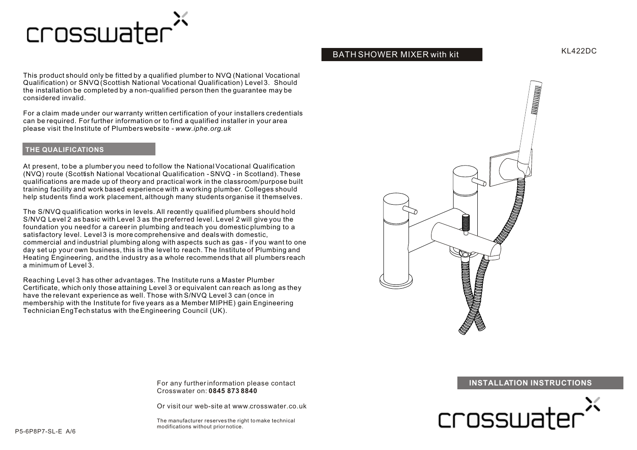

This product should only be fitted by a qualified plumber to NVQ (National Vocational Qualification) or SNVQ (Scottish National Vocational Qualification) Level 3. Should the installation be completed by a non-qualified person then the guarantee may be considered invalid.

For a claim made under our warranty written certification of your installers credentials can be required. For further information or to find a qualified installer in your area please visit the Institute of Plumbers website - *www.iphe.org.uk*

### **THE QUALIFICATIONS**

At present, to be a plumber you need to follow the National Vocational Qualification (NVQ) route (Scottish National Vocational Qualification - SNVQ - in Scotland). These qualifications are made up of theory and practical work in the classroom/purpose built training facility and work based experience with a working plumber. Colleges should help students find a work placement, although many students organise it themselves.

The S/NVQ qualification works in levels. All recently qualified plumbers should hold S/NVQ Level 2 as basic with Level 3 as the preferred level. Level 2 will give you the foundation you need for a career in plumbing and teach you domestic plumbing to a satisfactory level. Level 3 is more comprehensive and deals with domestic, commercial and industrial plumbing along with aspects such as gas - if you want to one day set up your own business, this is the level to reach. The Institute of Plumbing and Heating Engineering, and the industry as a whole recommends that all plumbers reach a minimum of Level 3.

Reaching Level 3 has other advantages. The Institute runs a Master Plumber Certificate, which only those attaining Level 3 or equivalent can reach as long as they have the relevant experience as well. Those with S/NVQ Level 3 can (once in membership with the Institute for five years as a Member MIPHE) gain Engineering Technician EngTech status with the Engineering Council (UK).

BATH SHOWER MIXER with kit



### **INSTALLATION INSTRUCTIONS**



For any further information please contact Crosswater on: **0845 873 8840**

Or visit our web-site at www.crosswater.co.uk

The manufacturer reserves the right to make technical modifications without prior notice.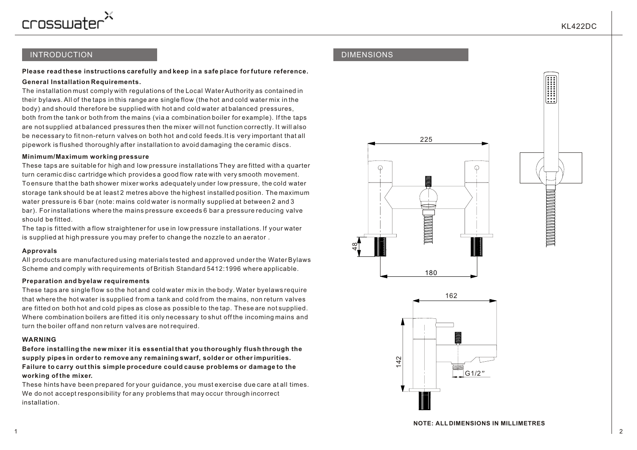

**A BENDARIA DE LA BIBLIO DE LA BIBLIO DE LA BIBLIO DE LA BIBLIO DE LA BIBLIO DE LA BIBLIO DE LA BIBLIO DE LA BI** 

## INTRODUCTION

### **Please read these instructions carefully and keep in a safe place for future reference.**

### **General Installation Requirements.**

The installation must comply with regulations of the Local Water Authority as contained in their bylaws. All of the taps in this range are single flow (the hot and cold water mix in the body) and should therefore be supplied with hot and cold water at balanced pressures, both from the tank or both from the mains (via a combination boiler for example). If the taps are not supplied at balanced pressures then the mixer will not function correctly. It will also be necessary to fit non-return valves on both hot and cold feeds.It is very important that all pipework is flushed thoroughly after installation to avoid damaging the ceramic discs.

### **Minimum/Maximum working pressure**

These taps are suitable for high and low pressure installations They are fitted with a quarter turn ceramic disc cartridge which provides a good flow rate with very smooth movement. To ensure that the bath shower mixer works adequately under low pressure, the cold water storage tank should be at least 2 metres above the highest installed position. The maximum water pressure is 6 bar (note: mains cold water is normally supplied at between 2 and 3 bar). For installations where the mains pressure exceeds 6 bar a pressure reducing valve should be fitted.

The tap is fitted with a flow straightener for use in low pressure installations. If your water is supplied at high pressure you may prefer to change the nozzle to an aerator .

### **Approvals**

All products are manufactured using materials tested and approved under the Water Bylaws Scheme and comply with requirements of British Standard 5412:1996 where applicable.

### **Preparation and byelaw requirements**

These taps are single flow so the hot and cold water mix in the body. Water byelaws require that where the hot water is supplied from a tank and cold from the mains, non return valves are fitted on both hot and cold pipes as close as possible to the tap. These are not supplied. Where combination boilers are fitted it is only necessary to shut off the incoming mains and turn the boiler off and non return valves are not required.

### **WARNING**

**Before installing the new mixer it is essential that you thoroughly flush through the supply pipes in order to remove any remaining swarf, solder or other impurities. Failure to carry out this simple procedure could cause problems or damage to the working of the mixer.**

These hints have been prepared for your guidance, you must exercise due care at all times. We do not accept responsibility for any problems that may occur through incorrect installation.

# DIMENSIONS



142

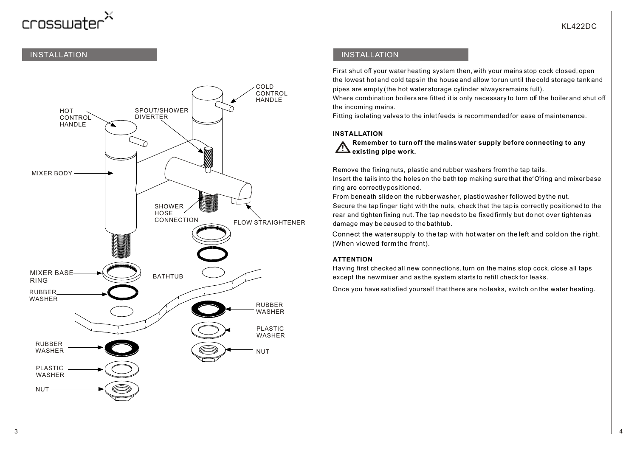# crosswater

# INSTALLATION



# INSTALLATION

First shut off your water heating system then, with your mains stop cock closed, open the lowest hot and cold taps in the house and allow to run until the cold storage tank and pipes are empty (the hot water storage cylinder always remains full).

Where combination boilers are fitted it is only necessary to turn off the boiler and shut off the incoming mains.

Fitting isolating valves to the inlet feeds is recommended for ease of maintenance.

### **INSTALLATION**

 **Remember to turn off the mains water supply before connecting to any**  $\frac{1}{2}$  existing pipe work.

Remove the fixing nuts, plastic and rubber washers from the tap tails.

Insert the tails into the holes on the bath top making sure that the O'ring and mixer base ring are correctly positioned.

From beneath slide on the rubber washer, plastic washer followed by the nut.

Secure the tap finger tight with the nuts, check that the tap is correctly positioned to the rear and tighten fixing nut. The tap needs to be fixed firmly but do not over tighten as damage may be caused to the bathtub.

Connect the water supply to the tap with hot water on the left and cold on the right. (When viewed form the front).

### **ATTENTION**

Having first checked all new connections, turn on the mains stop cock, close all taps except the new mixer and as the system starts to refill check for leaks.

Once you have satisfied yourself that there are no leaks, switch on the water heating.